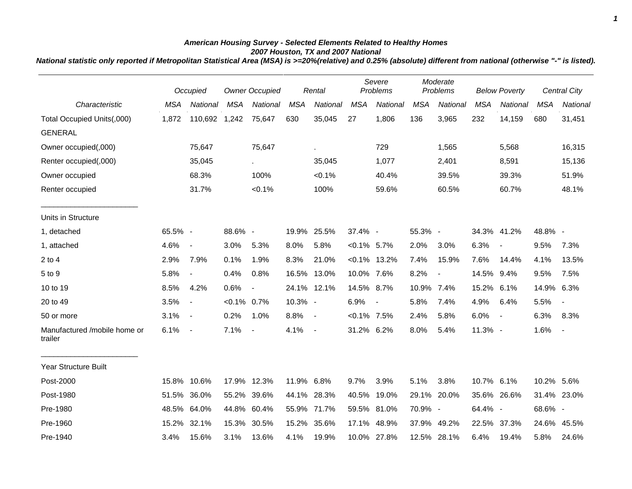## *American Housing Survey - Selected Elements Related to Healthy Homes 2007 Houston, TX and 2007 National*

*National statistic only reported if Metropolitan Statistical Area (MSA) is >=20%(relative) and 0.25% (absolute) different from national (otherwise "-" is listed).*

|                                         |            | Occupied                 |                | <b>Owner Occupied</b>    |            | Rental                   |                | Severe<br>Problems |            | Moderate<br>Problems |            | <b>Below Poverty</b>     |            | <b>Central City</b>      |
|-----------------------------------------|------------|--------------------------|----------------|--------------------------|------------|--------------------------|----------------|--------------------|------------|----------------------|------------|--------------------------|------------|--------------------------|
| Characteristic                          | <b>MSA</b> | National                 | <b>MSA</b>     | National                 | <b>MSA</b> | National                 | <b>MSA</b>     | National           | <b>MSA</b> | National             | <b>MSA</b> | National                 | <b>MSA</b> | National                 |
| Total Occupied Units(,000)              | 1,872      | 110,692                  | 1,242          | 75,647                   | 630        | 35,045                   | 27             | 1,806              | 136        | 3,965                | 232        | 14,159                   | 680        | 31,451                   |
| <b>GENERAL</b>                          |            |                          |                |                          |            |                          |                |                    |            |                      |            |                          |            |                          |
| Owner occupied(,000)                    |            | 75,647                   |                | 75,647                   |            | ä,                       |                | 729                |            | 1,565                |            | 5,568                    |            | 16,315                   |
| Renter occupied(,000)                   |            | 35,045                   |                | $\sim$                   |            | 35,045                   |                | 1,077              |            | 2,401                |            | 8,591                    |            | 15,136                   |
| Owner occupied                          |            | 68.3%                    |                | 100%                     |            | $< 0.1\%$                |                | 40.4%              |            | 39.5%                |            | 39.3%                    |            | 51.9%                    |
| Renter occupied                         |            | 31.7%                    |                | $< 0.1\%$                |            | 100%                     |                | 59.6%              |            | 60.5%                |            | 60.7%                    |            | 48.1%                    |
| Units in Structure                      |            |                          |                |                          |            |                          |                |                    |            |                      |            |                          |            |                          |
| 1, detached                             | 65.5% -    |                          | 88.6% -        |                          |            | 19.9% 25.5%              | 37.4% -        |                    | 55.3% -    |                      |            | 34.3% 41.2%              | 48.8% -    |                          |
| 1, attached                             | 4.6%       | $\overline{\phantom{a}}$ | 3.0%           | 5.3%                     | 8.0%       | 5.8%                     | $< 0.1\%$ 5.7% |                    | 2.0%       | 3.0%                 | 6.3%       | $\overline{\phantom{a}}$ | 9.5%       | 7.3%                     |
| $2$ to $4$                              | 2.9%       | 7.9%                     | 0.1%           | 1.9%                     | 8.3%       | 21.0%                    |                | $< 0.1\%$ 13.2%    | 7.4%       | 15.9%                | 7.6%       | 14.4%                    | 4.1%       | 13.5%                    |
| 5 to 9                                  | 5.8%       | $\blacksquare$           | 0.4%           | 0.8%                     |            | 16.5% 13.0%              | 10.0% 7.6%     |                    | 8.2%       | $\blacksquare$       | 14.5% 9.4% |                          | 9.5%       | 7.5%                     |
| 10 to 19                                | 8.5%       | 4.2%                     | 0.6%           | $\overline{\phantom{a}}$ |            | 24.1% 12.1%              | 14.5% 8.7%     |                    | 10.9% 7.4% |                      | 15.2% 6.1% |                          | 14.9% 6.3% |                          |
| 20 to 49                                | 3.5%       | $\blacksquare$           | $< 0.1\%$ 0.7% |                          | 10.3% -    |                          | 6.9%           | $\blacksquare$     | 5.8%       | 7.4%                 | 4.9%       | 6.4%                     | 5.5%       | $\overline{\phantom{a}}$ |
| 50 or more                              | 3.1%       | $\blacksquare$           | 0.2%           | 1.0%                     | 8.8%       | $\overline{\phantom{a}}$ | $< 0.1\%$ 7.5% |                    | 2.4%       | 5.8%                 | 6.0%       | $\overline{\phantom{a}}$ | 6.3%       | 8.3%                     |
| Manufactured /mobile home or<br>trailer | 6.1%       | $\overline{\phantom{a}}$ | 7.1%           | $\blacksquare$           | 4.1%       | $\blacksquare$           | 31.2% 6.2%     |                    | 8.0%       | 5.4%                 | 11.3% -    |                          | 1.6%       | $\blacksquare$           |
| <b>Year Structure Built</b>             |            |                          |                |                          |            |                          |                |                    |            |                      |            |                          |            |                          |
| Post-2000                               |            | 15.8% 10.6%              |                | 17.9% 12.3%              | 11.9% 6.8% |                          | 9.7%           | 3.9%               | 5.1%       | 3.8%                 | 10.7% 6.1% |                          | 10.2% 5.6% |                          |
| Post-1980                               | 51.5%      | 36.0%                    |                | 55.2% 39.6%              |            | 44.1% 28.3%              | 40.5%          | 19.0%              | 29.1%      | 20.0%                |            | 35.6% 26.6%              |            | 31.4% 23.0%              |
| Pre-1980                                | 48.5%      | 64.0%                    |                | 44.8% 60.4%              | 55.9%      | 71.7%                    | 59.5%          | 81.0%              | 70.9% -    |                      | 64.4% -    |                          | 68.6% -    |                          |
| Pre-1960                                | 15.2%      | 32.1%                    | 15.3%          | 30.5%                    | 15.2%      | 35.6%                    | 17.1%          | 48.9%              | 37.9%      | 49.2%                |            | 22.5% 37.3%              | 24.6%      | 45.5%                    |
| Pre-1940                                | 3.4%       | 15.6%                    | 3.1%           | 13.6%                    | 4.1%       | 19.9%                    |                | 10.0% 27.8%        |            | 12.5% 28.1%          | 6.4%       | 19.4%                    | 5.8%       | 24.6%                    |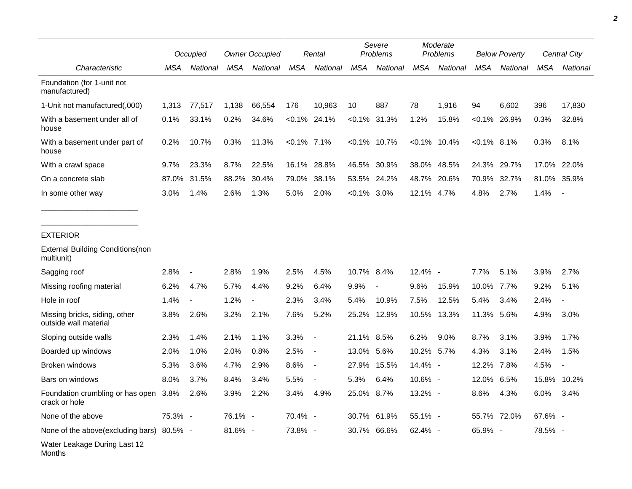|                                                        |         | Occupied                 |         | <b>Owner Occupied</b> |                | Rental          |               | Severe<br>Problems |                 | Moderate<br>Problems |                | <b>Below Poverty</b> |         | Central City             |  |
|--------------------------------------------------------|---------|--------------------------|---------|-----------------------|----------------|-----------------|---------------|--------------------|-----------------|----------------------|----------------|----------------------|---------|--------------------------|--|
| Characteristic                                         | MSA     | National                 | MSA     | National              | MSA            | National        | MSA           | National           | MSA             | National             | MSA            | National             | MSA     | National                 |  |
| Foundation (for 1-unit not<br>manufactured)            |         |                          |         |                       |                |                 |               |                    |                 |                      |                |                      |         |                          |  |
| 1-Unit not manufactured(,000)                          | 1,313   | 77,517                   | 1,138   | 66,554                | 176            | 10,963          | 10            | 887                | 78              | 1,916                | 94             | 6,602                | 396     | 17,830                   |  |
| With a basement under all of<br>house                  | 0.1%    | 33.1%                    | 0.2%    | 34.6%                 |                | $< 0.1\%$ 24.1% | $< 0.1\%$     | 31.3%              | 1.2%            | 15.8%                | $< 0.1\%$      | 26.9%                | 0.3%    | 32.8%                    |  |
| With a basement under part of<br>house                 | 0.2%    | 10.7%                    | 0.3%    | 11.3%                 | $< 0.1\%$ 7.1% |                 |               | $< 0.1\%$ 10.7%    | $< 0.1\%$ 10.4% |                      | $< 0.1\%$ 8.1% |                      | 0.3%    | 8.1%                     |  |
| With a crawl space                                     | 9.7%    | 23.3%                    | 8.7%    | 22.5%                 |                | 16.1% 28.8%     | 46.5%         | 30.9%              |                 | 38.0% 48.5%          |                | 24.3% 29.7%          | 17.0%   | 22.0%                    |  |
| On a concrete slab                                     | 87.0%   | 31.5%                    | 88.2%   | 30.4%                 | 79.0%          | 38.1%           | 53.5%         | 24.2%              | 48.7%           | 20.6%                | 70.9%          | 32.7%                | 81.0%   | 35.9%                    |  |
| In some other way                                      | 3.0%    | 1.4%                     | 2.6%    | 1.3%                  | 5.0%           | 2.0%            | $<0.1\%$ 3.0% |                    | 12.1% 4.7%      |                      | 4.8%           | 2.7%                 | 1.4%    | $\sim$                   |  |
| <b>EXTERIOR</b>                                        |         |                          |         |                       |                |                 |               |                    |                 |                      |                |                      |         |                          |  |
| <b>External Building Conditions (non</b><br>multiunit) |         |                          |         |                       |                |                 |               |                    |                 |                      |                |                      |         |                          |  |
| Sagging roof                                           | 2.8%    | $\overline{a}$           | 2.8%    | 1.9%                  | 2.5%           | 4.5%            | 10.7% 8.4%    |                    | 12.4% -         |                      | 7.7%           | 5.1%                 | 3.9%    | 2.7%                     |  |
| Missing roofing material                               | 6.2%    | 4.7%                     | 5.7%    | 4.4%                  | 9.2%           | 6.4%            | 9.9%          | $\overline{a}$     | 9.6%            | 15.9%                | 10.0% 7.7%     |                      | 9.2%    | 5.1%                     |  |
| Hole in roof                                           | 1.4%    | $\overline{\phantom{a}}$ | 1.2%    |                       | 2.3%           | 3.4%            | 5.4%          | 10.9%              | 7.5%            | 12.5%                | 5.4%           | 3.4%                 | 2.4%    | $\overline{\phantom{a}}$ |  |
| Missing bricks, siding, other<br>outside wall material | 3.8%    | 2.6%                     | 3.2%    | 2.1%                  | 7.6%           | 5.2%            | 25.2%         | 12.9%              | 10.5%           | 13.3%                | 11.3%          | 5.6%                 | 4.9%    | 3.0%                     |  |
| Sloping outside walls                                  | 2.3%    | 1.4%                     | 2.1%    | 1.1%                  | 3.3%           | $\blacksquare$  | 21.1% 8.5%    |                    | 6.2%            | 9.0%                 | 8.7%           | 3.1%                 | 3.9%    | 1.7%                     |  |
| Boarded up windows                                     | 2.0%    | 1.0%                     | 2.0%    | 0.8%                  | 2.5%           | $\blacksquare$  | 13.0% 5.6%    |                    | 10.2%           | 5.7%                 | 4.3%           | 3.1%                 | 2.4%    | 1.5%                     |  |
| <b>Broken windows</b>                                  | 5.3%    | 3.6%                     | 4.7%    | 2.9%                  | 8.6%           | $\blacksquare$  |               | 27.9% 15.5%        | 14.4% -         |                      | 12.2%          | 7.8%                 | 4.5%    | $\overline{\phantom{a}}$ |  |
| Bars on windows                                        | 8.0%    | 3.7%                     | 8.4%    | 3.4%                  | 5.5%           | $\blacksquare$  | 5.3%          | 6.4%               | 10.6% -         |                      | 12.0%          | 6.5%                 | 15.8%   | 10.2%                    |  |
| Foundation crumbling or has open<br>crack or hole      | 3.8%    | 2.6%                     | 3.9%    | 2.2%                  | 3.4%           | 4.9%            | 25.0% 8.7%    |                    | 13.2% -         |                      | 8.6%           | 4.3%                 | 6.0%    | 3.4%                     |  |
| None of the above                                      | 75.3% - |                          | 76.1% - |                       | 70.4% -        |                 | 30.7%         | 61.9%              | 55.1% -         |                      | 55.7% 72.0%    |                      | 67.6% - |                          |  |
| None of the above (excluding bars)                     | 80.5% - |                          | 81.6% - |                       | 73.8% -        |                 |               | 30.7% 66.6%        | 62.4% -         |                      | 65.9% -        |                      | 78.5% - |                          |  |
| Water Leakage During Last 12                           |         |                          |         |                       |                |                 |               |                    |                 |                      |                |                      |         |                          |  |

Months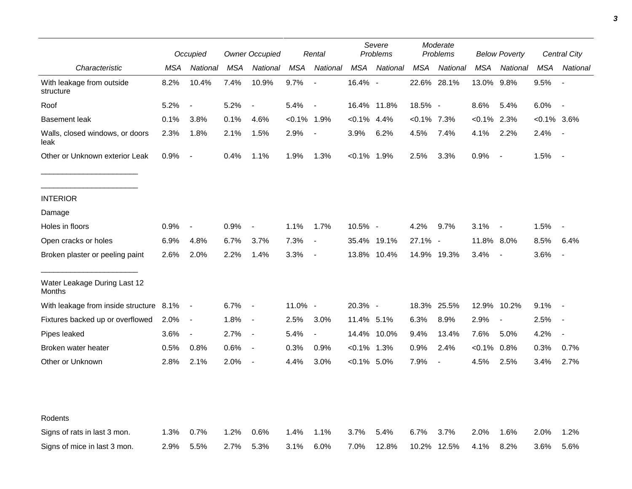|                                                              | Occupied     |                          | <b>Owner Occupied</b> |                          | Rental         |                          | Severe<br>Problems |               | Moderate<br>Problems |                          | <b>Below Poverty</b> |                          | Central City  |                          |
|--------------------------------------------------------------|--------------|--------------------------|-----------------------|--------------------------|----------------|--------------------------|--------------------|---------------|----------------------|--------------------------|----------------------|--------------------------|---------------|--------------------------|
| Characteristic                                               | MSA          | National                 | <b>MSA</b>            | National                 | <b>MSA</b>     | National                 | <b>MSA</b>         | National      | MSA                  | National                 | <b>MSA</b>           | National                 | <b>MSA</b>    | National                 |
| With leakage from outside<br>structure                       | 8.2%         | 10.4%                    | 7.4%                  | 10.9%                    | 9.7%           | $\blacksquare$           | 16.4% -            |               |                      | 22.6% 28.1%              | 13.0%                | $9.8\%$                  | 9.5%          | $\sim$                   |
| Roof                                                         | 5.2%         | $\overline{\phantom{a}}$ | 5.2%                  | $\overline{\phantom{a}}$ | 5.4%           | $\overline{\phantom{a}}$ |                    | 16.4% 11.8%   | 18.5% -              |                          | 8.6%                 | 5.4%                     | 6.0%          | $\overline{\phantom{a}}$ |
| <b>Basement leak</b>                                         | 0.1%         | 3.8%                     | 0.1%                  | 4.6%                     | $< 0.1\%$ 1.9% |                          | $< 0.1\%$ 4.4%     |               | $<0.1\%$ 7.3%        |                          | $< 0.1\%$            | 2.3%                     | $<0.1\%$ 3.6% |                          |
| Walls, closed windows, or doors<br>leak                      | 2.3%         | 1.8%                     | 2.1%                  | 1.5%                     | 2.9%           | $\blacksquare$           | 3.9%               | 6.2%          | 4.5%                 | 7.4%                     | 4.1%                 | 2.2%                     | 2.4%          |                          |
| Other or Unknown exterior Leak                               | 0.9%         | $\blacksquare$           | 0.4%                  | 1.1%                     | 1.9%           | 1.3%                     | $< 0.1\%$ 1.9%     |               | 2.5%                 | 3.3%                     | 0.9%                 | $\sim$                   | 1.5%          | $\blacksquare$           |
| <b>INTERIOR</b>                                              |              |                          |                       |                          |                |                          |                    |               |                      |                          |                      |                          |               |                          |
| Damage                                                       |              |                          |                       |                          |                |                          |                    |               |                      |                          |                      |                          |               |                          |
| Holes in floors                                              | 0.9%         | $\overline{\phantom{a}}$ | 0.9%                  | $\overline{\phantom{a}}$ | 1.1%           | 1.7%                     | 10.5% -            |               | 4.2%                 | 9.7%                     | 3.1%                 | $\sim$                   | 1.5%          |                          |
| Open cracks or holes                                         | 6.9%         | 4.8%                     | 6.7%                  | 3.7%                     | 7.3%           | $\blacksquare$           |                    | 35.4% 19.1%   | 27.1%                | $\overline{\phantom{a}}$ | 11.8% 8.0%           |                          | 8.5%          | 6.4%                     |
| Broken plaster or peeling paint                              | 2.6%         | 2.0%                     | 2.2%                  | 1.4%                     | 3.3%           | $\overline{\phantom{a}}$ |                    | 13.8% 10.4%   |                      | 14.9% 19.3%              | 3.4%                 | $\overline{\phantom{a}}$ | 3.6%          |                          |
| Water Leakage During Last 12<br>Months                       |              |                          |                       |                          |                |                          |                    |               |                      |                          |                      |                          |               |                          |
| With leakage from inside structure 8.1%                      |              | $\sim$                   | 6.7%                  | $\overline{\phantom{a}}$ | 11.0% -        |                          | 20.3% -            |               |                      | 18.3% 25.5%              | 12.9% 10.2%          |                          | 9.1%          |                          |
| Fixtures backed up or overflowed                             | 2.0%         | $\blacksquare$           | 1.8%                  | $\overline{\phantom{a}}$ | 2.5%           | 3.0%                     | 11.4% 5.1%         |               | 6.3%                 | 8.9%                     | 2.9%                 | $\overline{\phantom{a}}$ | 2.5%          |                          |
| Pipes leaked                                                 | 3.6%         | $\overline{\phantom{a}}$ | 2.7%                  | $\overline{\phantom{a}}$ | 5.4%           | $\overline{\phantom{a}}$ |                    | 14.4% 10.0%   | 9.4%                 | 13.4%                    | 7.6%                 | 5.0%                     | 4.2%          |                          |
| Broken water heater                                          | 0.5%         | 0.8%                     | 0.6%                  | $\overline{\phantom{a}}$ | 0.3%           | 0.9%                     | $< 0.1\%$ 1.3%     |               | 0.9%                 | 2.4%                     | $< 0.1\%$            | 0.8%                     | 0.3%          | 0.7%                     |
| Other or Unknown                                             | 2.8%         | 2.1%                     | 2.0%                  | $\overline{\phantom{a}}$ | 4.4%           | 3.0%                     | $< 0.1\%$ 5.0%     |               | 7.9%                 | $\overline{\phantom{a}}$ | 4.5%                 | 2.5%                     | 3.4%          | 2.7%                     |
|                                                              |              |                          |                       |                          |                |                          |                    |               |                      |                          |                      |                          |               |                          |
| Rodents                                                      |              | 0.7%                     | 1.2%                  |                          |                |                          |                    |               |                      |                          |                      |                          | 2.0%          |                          |
| Signs of rats in last 3 mon.<br>Signs of mice in last 3 mon. | 1.3%<br>2.9% | 5.5%                     | 2.7%                  | 0.6%<br>5.3%             | 1.4%<br>3.1%   | 1.1%<br>6.0%             | 3.7%<br>7.0%       | 5.4%<br>12.8% | 6.7%                 | 3.7%<br>10.2% 12.5%      | 2.0%<br>4.1%         | 1.6%<br>8.2%             | 3.6%          | 1.2%<br>5.6%             |
|                                                              |              |                          |                       |                          |                |                          |                    |               |                      |                          |                      |                          |               |                          |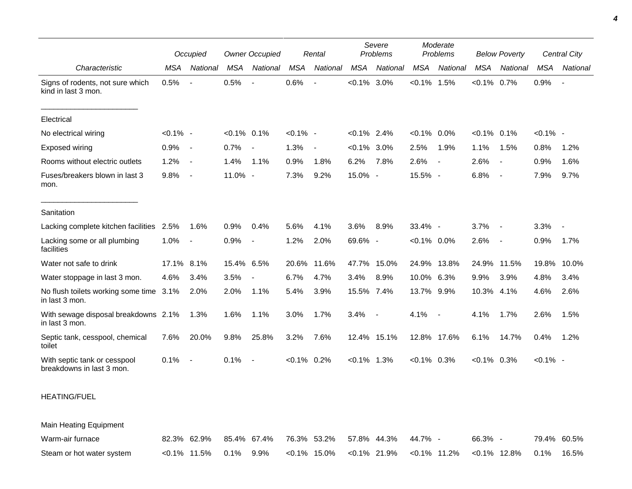|                                                           | Occupied    |                          | <b>Owner Occupied</b><br>Rental |                          |                |                          |                | Severe<br>Moderate<br>Problems<br>Problems |                |          |                | <b>Below Poverty</b>     | Central City |                          |
|-----------------------------------------------------------|-------------|--------------------------|---------------------------------|--------------------------|----------------|--------------------------|----------------|--------------------------------------------|----------------|----------|----------------|--------------------------|--------------|--------------------------|
| Characteristic                                            | MSA         | National                 | MSA                             | National                 | <b>MSA</b>     | National                 | MSA            | National                                   | <b>MSA</b>     | National | <b>MSA</b>     | National                 | <b>MSA</b>   | National                 |
| Signs of rodents, not sure which<br>kind in last 3 mon.   | 0.5%        | $\overline{\phantom{a}}$ | 0.5%                            |                          | 0.6%           |                          | $< 0.1\%$      | 3.0%                                       | $< 0.1\%$ 1.5% |          | $< 0.1\%$ 0.7% |                          | 0.9%         | $\overline{\phantom{a}}$ |
| Electrical                                                |             |                          |                                 |                          |                |                          |                |                                            |                |          |                |                          |              |                          |
| No electrical wiring                                      | $< 0.1\%$ - |                          | $< 0.1\%$ 0.1%                  |                          | $< 0.1\%$ -    |                          | $< 0.1\%$ 2.4% |                                            | $< 0.1\%$ 0.0% |          | $< 0.1\%$ 0.1% |                          | $< 0.1\%$ -  |                          |
| Exposed wiring                                            | 0.9%        | $\overline{\phantom{a}}$ | 0.7%                            | $\overline{\phantom{a}}$ | 1.3%           | $\overline{\phantom{a}}$ | $< 0.1\%$ 3.0% |                                            | 2.5%           | 1.9%     | 1.1%           | 1.5%                     | 0.8%         | 1.2%                     |
| Rooms without electric outlets                            | 1.2%        | $\blacksquare$           | 1.4%                            | 1.1%                     | 0.9%           | 1.8%                     | 6.2%           | 7.8%                                       | 2.6%           |          | 2.6%           | $\overline{\phantom{a}}$ | 0.9%         | 1.6%                     |
| Fuses/breakers blown in last 3<br>mon.                    | 9.8%        | $\overline{\phantom{a}}$ | 11.0% -                         |                          | 7.3%           | 9.2%                     | 15.0% -        |                                            | 15.5% -        |          | 6.8%           | $\overline{\phantom{a}}$ | 7.9%         | 9.7%                     |
| Sanitation                                                |             |                          |                                 |                          |                |                          |                |                                            |                |          |                |                          |              |                          |
| Lacking complete kitchen facilities                       | 2.5%        | 1.6%                     | 0.9%                            | 0.4%                     | 5.6%           | 4.1%                     | 3.6%           | 8.9%                                       | 33.4% -        |          | 3.7%           |                          | 3.3%         |                          |
| Lacking some or all plumbing<br>facilities                | 1.0%        | $\overline{\phantom{a}}$ | 0.9%                            | $\overline{\phantom{a}}$ | 1.2%           | 2.0%                     | 69.6% -        |                                            | $< 0.1\%$ 0.0% |          | 2.6%           | $\overline{\phantom{a}}$ | 0.9%         | 1.7%                     |
| Water not safe to drink                                   | 17.1%       | 8.1%                     | 15.4% 6.5%                      |                          | 20.6%          | 11.6%                    | 47.7%          | 15.0%                                      | 24.9% 13.8%    |          | 24.9%          | 11.5%                    | 19.8%        | 10.0%                    |
| Water stoppage in last 3 mon.                             | 4.6%        | 3.4%                     | 3.5%                            |                          | 6.7%           | 4.7%                     | 3.4%           | 8.9%                                       | 10.0% 6.3%     |          | 9.9%           | 3.9%                     | 4.8%         | 3.4%                     |
| No flush toilets working some time 3.1%<br>in last 3 mon. |             | 2.0%                     | 2.0%                            | 1.1%                     | 5.4%           | 3.9%                     | 15.5% 7.4%     |                                            | 13.7% 9.9%     |          | 10.3% 4.1%     |                          | 4.6%         | 2.6%                     |
| With sewage disposal breakdowns 2.1%<br>in last 3 mon.    |             | 1.3%                     | 1.6%                            | 1.1%                     | 3.0%           | 1.7%                     | 3.4%           | $\overline{\phantom{a}}$                   | 4.1%           |          | 4.1%           | 1.7%                     | 2.6%         | 1.5%                     |
| Septic tank, cesspool, chemical<br>toilet                 | 7.6%        | 20.0%                    | 9.8%                            | 25.8%                    | 3.2%           | 7.6%                     |                | 12.4% 15.1%                                | 12.8% 17.6%    |          | 6.1%           | 14.7%                    | 0.4%         | 1.2%                     |
| With septic tank or cesspool<br>breakdowns in last 3 mon. | 0.1%        | $\overline{\phantom{a}}$ | 0.1%                            | $\sim$ $-$               | $< 0.1\%$ 0.2% |                          | $< 0.1\%$ 1.3% |                                            | $< 0.1\%$ 0.3% |          | $< 0.1\%$ 0.3% |                          | $< 0.1\%$ -  |                          |

## HEATING/FUEL

Main Heating Equipment

| Warm-air furnace          |                           |  |  |  | 82.3% 62.9% 85.4% 67.4% 76.3% 53.2% 57.8% 44.3% 44.7% -                | 66.3% - | 79.4% 60.5% |
|---------------------------|---------------------------|--|--|--|------------------------------------------------------------------------|---------|-------------|
| Steam or hot water system | $< 0.1\%$ 11.5% 0.1% 9.9% |  |  |  | $<$ 0.1% 15.0% $<$ 0.1% 21.9% $<$ 0.1% 11.2% $<$ 0.1% 12.8% 0.1% 16.5% |         |             |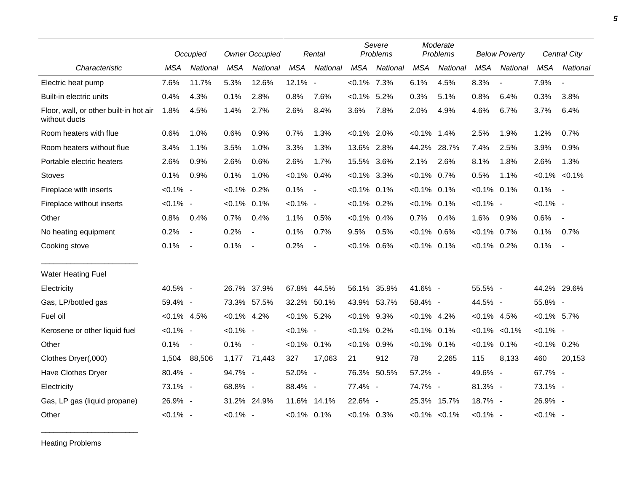|                                                         |                | Occupied                 |                | <b>Owner Occupied</b>    |                | Rental         |                | Severe<br>Problems |                | Moderate<br>Problems |                | <b>Below Poverty</b>     |                     | Central City             |
|---------------------------------------------------------|----------------|--------------------------|----------------|--------------------------|----------------|----------------|----------------|--------------------|----------------|----------------------|----------------|--------------------------|---------------------|--------------------------|
| Characteristic                                          | <b>MSA</b>     | National                 | <b>MSA</b>     | National                 | <b>MSA</b>     | National       | <b>MSA</b>     | National           | <b>MSA</b>     | National             | <b>MSA</b>     | National                 | <b>MSA</b>          | <b>National</b>          |
| Electric heat pump                                      | 7.6%           | 11.7%                    | 5.3%           | 12.6%                    | 12.1% -        |                | $< 0.1\%$ 7.3% |                    | 6.1%           | 4.5%                 | 8.3%           | $\overline{\phantom{a}}$ | 7.9%                | $\overline{\phantom{a}}$ |
| Built-in electric units                                 | 0.4%           | 4.3%                     | 0.1%           | 2.8%                     | 0.8%           | 7.6%           | $< 0.1\%$ 5.2% |                    | 0.3%           | 5.1%                 | 0.8%           | 6.4%                     | 0.3%                | 3.8%                     |
| Floor, wall, or other built-in hot air<br>without ducts | 1.8%           | 4.5%                     | 1.4%           | 2.7%                     | 2.6%           | 8.4%           | 3.6%           | 7.8%               | 2.0%           | 4.9%                 | 4.6%           | 6.7%                     | 3.7%                | 6.4%                     |
| Room heaters with flue                                  | 0.6%           | 1.0%                     | 0.6%           | 0.9%                     | 0.7%           | 1.3%           | $< 0.1\%$ 2.0% |                    | $< 0.1\%$      | 1.4%                 | 2.5%           | 1.9%                     | 1.2%                | 0.7%                     |
| Room heaters without flue                               | 3.4%           | 1.1%                     | 3.5%           | 1.0%                     | 3.3%           | 1.3%           | 13.6% 2.8%     |                    | 44.2%          | 28.7%                | 7.4%           | 2.5%                     | 3.9%                | 0.9%                     |
| Portable electric heaters                               | 2.6%           | 0.9%                     | 2.6%           | 0.6%                     | 2.6%           | 1.7%           | 15.5% 3.6%     |                    | 2.1%           | 2.6%                 | 8.1%           | 1.8%                     | 2.6%                | 1.3%                     |
| <b>Stoves</b>                                           | 0.1%           | 0.9%                     | 0.1%           | 1.0%                     | $< 0.1\%$ 0.4% |                | $< 0.1\%$ 3.3% |                    | $< 0.1\%$ 0.7% |                      | 0.5%           | 1.1%                     | $< 0.1\%$ $< 0.1\%$ |                          |
| Fireplace with inserts                                  | $< 0.1\%$ -    |                          | $< 0.1\%$      | 0.2%                     | 0.1%           | $\blacksquare$ | $< 0.1\%$ 0.1% |                    | $< 0.1\%$ 0.1% |                      | $< 0.1\%$ 0.1% |                          | 0.1%                | $\sim$                   |
| Fireplace without inserts                               | $< 0.1\%$ -    |                          | $< 0.1\%$ 0.1% |                          | $< 0.1\%$ -    |                | $< 0.1\%$ 0.2% |                    | $< 0.1\%$ 0.1% |                      | $< 0.1\%$ -    |                          | $< 0.1\%$ -         |                          |
| Other                                                   | 0.8%           | 0.4%                     | 0.7%           | 0.4%                     | 1.1%           | 0.5%           | $< 0.1\%$ 0.4% |                    | 0.7%           | 0.4%                 | 1.6%           | 0.9%                     | 0.6%                | $\sim$                   |
| No heating equipment                                    | 0.2%           | $\overline{\phantom{a}}$ | 0.2%           | $\overline{\phantom{a}}$ | 0.1%           | 0.7%           | 9.5%           | 0.5%               | $< 0.1\%$      | 0.6%                 | $< 0.1\%$ 0.7% |                          | 0.1%                | 0.7%                     |
| Cooking stove                                           | 0.1%           | $\overline{\phantom{a}}$ | 0.1%           | $\sim$ $-$               | 0.2%           | $\blacksquare$ | $< 0.1\%$ 0.6% |                    | $< 0.1\%$ 0.1% |                      | $< 0.1\%$ 0.2% |                          | 0.1%                | $\sim$                   |
| <b>Water Heating Fuel</b>                               |                |                          |                |                          |                |                |                |                    |                |                      |                |                          |                     |                          |
| Electricity                                             | 40.5% -        |                          | 26.7% 37.9%    |                          |                | 67.8% 44.5%    |                | 56.1% 35.9%        | 41.6% -        |                      | 55.5% -        |                          | 44.2% 29.6%         |                          |
| Gas, LP/bottled gas                                     | 59.4% -        |                          | 73.3% 57.5%    |                          |                | 32.2% 50.1%    | 43.9% 53.7%    |                    | 58.4% -        |                      | 44.5% -        |                          | 55.8% -             |                          |
| Fuel oil                                                | $< 0.1\%$ 4.5% |                          | $< 0.1\%$ 4.2% |                          | $< 0.1\%$ 5.2% |                | $< 0.1\%$ 9.3% |                    | $< 0.1\%$ 4.2% |                      | $< 0.1\%$ 4.5% |                          | $< 0.1\%$ 5.7%      |                          |
| Kerosene or other liquid fuel                           | $< 0.1\%$ -    |                          | $< 0.1\%$ -    |                          | $< 0.1\%$ -    |                | $< 0.1\%$ 0.2% |                    | $< 0.1\%$ 0.1% |                      | $< 0.1\%$      | $< 0.1\%$                | $< 0.1\%$ -         |                          |
| Other                                                   | 0.1%           | $\sim$                   | 0.1%           | $\sim$                   | $< 0.1\%$ 0.1% |                | $< 0.1\%$ 0.9% |                    | $< 0.1\%$      | 0.1%                 | $< 0.1\%$ 0.1% |                          | $< 0.1\%$ 0.2%      |                          |
| Clothes Dryer(,000)                                     | 1,504          | 88,506                   | 1,177          | 71,443                   | 327            | 17,063         | 21             | 912                | 78             | 2,265                | 115            | 8,133                    | 460                 | 20,153                   |
| Have Clothes Dryer                                      | 80.4% -        |                          | 94.7% -        |                          | 52.0% -        |                |                | 76.3% 50.5%        | 57.2% -        |                      | 49.6% -        |                          | 67.7% -             |                          |
| Electricity                                             | 73.1% -        |                          | 68.8% -        |                          | 88.4% -        |                | 77.4% -        |                    | 74.7% -        |                      | 81.3% -        |                          | 73.1% -             |                          |
| Gas, LP gas (liquid propane)                            | 26.9% -        |                          | 31.2% 24.9%    |                          |                | 11.6% 14.1%    | 22.6% -        |                    |                | 25.3% 15.7%          | 18.7% -        |                          | 26.9% -             |                          |
| Other                                                   | $< 0.1\%$ -    |                          | $< 0.1\%$ -    |                          | $< 0.1\%$ 0.1% |                | $< 0.1\%$ 0.3% |                    |                | $< 0.1\%$ $< 0.1\%$  | $< 0.1\%$ -    |                          | $< 0.1\%$ -         |                          |

Heating Problems

\_\_\_\_\_\_\_\_\_\_\_\_\_\_\_\_\_\_\_\_\_\_\_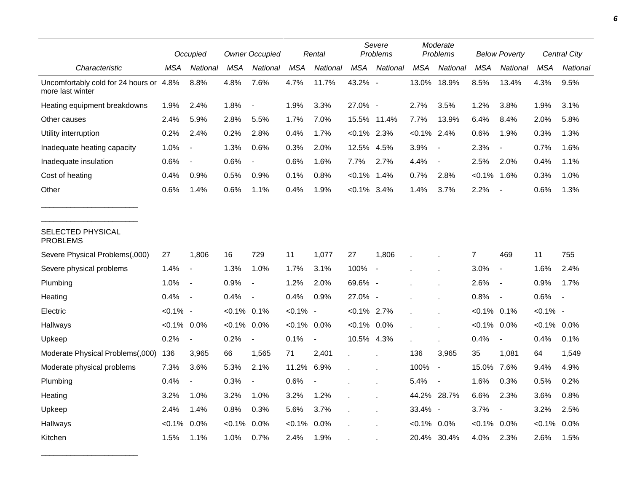|                                                             |                | Occupied                 |                | <b>Owner Occupied</b>    |             | Rental         |                | Severe<br>Problems       |                | Moderate<br>Problems     |                | <b>Below Poverty</b>     |                | <b>Central City</b> |
|-------------------------------------------------------------|----------------|--------------------------|----------------|--------------------------|-------------|----------------|----------------|--------------------------|----------------|--------------------------|----------------|--------------------------|----------------|---------------------|
| Characteristic                                              | MSA            | <b>National</b>          | <b>MSA</b>     | National                 | <b>MSA</b>  | National       | <b>MSA</b>     | National                 | <b>MSA</b>     | National                 | <b>MSA</b>     | National                 | <b>MSA</b>     | National            |
| Uncomfortably cold for 24 hours or 4.8%<br>more last winter |                | 8.8%                     | 4.8%           | 7.6%                     | 4.7%        | 11.7%          | 43.2% -        |                          | 13.0%          | 18.9%                    | 8.5%           | 13.4%                    | 4.3%           | 9.5%                |
| Heating equipment breakdowns                                | 1.9%           | 2.4%                     | 1.8%           |                          | 1.9%        | 3.3%           | 27.0% -        |                          | 2.7%           | 3.5%                     | 1.2%           | 3.8%                     | 1.9%           | 3.1%                |
| Other causes                                                | 2.4%           | 5.9%                     | 2.8%           | 5.5%                     | 1.7%        | 7.0%           |                | 15.5% 11.4%              | 7.7%           | 13.9%                    | 6.4%           | 8.4%                     | 2.0%           | 5.8%                |
| Utility interruption                                        | 0.2%           | 2.4%                     | 0.2%           | 2.8%                     | 0.4%        | 1.7%           | $< 0.1\%$ 2.3% |                          | $< 0.1\%$ 2.4% |                          | 0.6%           | 1.9%                     | 0.3%           | 1.3%                |
| Inadequate heating capacity                                 | 1.0%           | $\overline{\phantom{a}}$ | 1.3%           | 0.6%                     | 0.3%        | 2.0%           | 12.5% 4.5%     |                          | 3.9%           | $\blacksquare$           | 2.3%           | $\overline{\phantom{a}}$ | 0.7%           | 1.6%                |
| Inadequate insulation                                       | 0.6%           | $\blacksquare$           | 0.6%           | $\overline{\phantom{a}}$ | 0.6%        | 1.6%           | 7.7%           | 2.7%                     | 4.4%           | $\blacksquare$           | 2.5%           | 2.0%                     | 0.4%           | 1.1%                |
| Cost of heating                                             | 0.4%           | 0.9%                     | 0.5%           | 0.9%                     | 0.1%        | 0.8%           | $< 0.1\%$ 1.4% |                          | 0.7%           | 2.8%                     | $< 0.1\%$ 1.6% |                          | 0.3%           | 1.0%                |
| Other                                                       | 0.6%           | 1.4%                     | 0.6%           | 1.1%                     | 0.4%        | 1.9%           | $< 0.1\%$ 3.4% |                          | 1.4%           | 3.7%                     | 2.2%           | $\overline{\phantom{a}}$ | 0.6%           | 1.3%                |
| SELECTED PHYSICAL<br><b>PROBLEMS</b>                        |                |                          |                |                          |             |                |                |                          |                |                          |                |                          |                |                     |
| Severe Physical Problems(,000)                              | 27             | 1,806                    | 16             | 729                      | 11          | 1,077          | 27             | 1,806                    |                |                          | 7              | 469                      | 11             | 755                 |
| Severe physical problems                                    | 1.4%           | $\overline{\phantom{a}}$ | 1.3%           | 1.0%                     | 1.7%        | 3.1%           | 100%           | $\overline{\phantom{a}}$ |                |                          | 3.0%           | $\blacksquare$           | 1.6%           | 2.4%                |
| Plumbing                                                    | 1.0%           | $\overline{\phantom{a}}$ | 0.9%           | $\blacksquare$           | 1.2%        | 2.0%           | 69.6% -        |                          |                |                          | 2.6%           | $\overline{\phantom{a}}$ | 0.9%           | 1.7%                |
| Heating                                                     | 0.4%           | $\overline{\phantom{a}}$ | 0.4%           |                          | 0.4%        | 0.9%           | 27.0% -        |                          |                |                          | 0.8%           | $\overline{\phantom{a}}$ | 0.6%           |                     |
| Electric                                                    | $< 0.1\%$ -    |                          | $< 0.1\%$ 0.1% |                          | $< 0.1\%$ - |                | $< 0.1\%$ 2.7% |                          |                |                          | $< 0.1\%$ 0.1% |                          | $< 0.1\%$ -    |                     |
| Hallways                                                    | $< 0.1\%$ 0.0% |                          | $< 0.1\%$      | 0.0%                     | $< 0.1\%$   | 0.0%           | $< 0.1\%$ 0.0% |                          |                |                          | $< 0.1\%$ 0.0% |                          | $< 0.1\%$ 0.0% |                     |
| Upkeep                                                      | 0.2%           | $\overline{\phantom{a}}$ | 0.2%           | $\blacksquare$           | 0.1%        | $\blacksquare$ | 10.5% 4.3%     |                          |                |                          | 0.4%           | $\blacksquare$           | 0.4%           | 0.1%                |
| Moderate Physical Problems(,000)                            | 136            | 3,965                    | 66             | 1,565                    | 71          | 2,401          |                |                          | 136            | 3,965                    | 35             | 1,081                    | 64             | 1,549               |
| Moderate physical problems                                  | 7.3%           | 3.6%                     | 5.3%           | 2.1%                     | 11.2%       | 6.9%           |                |                          | 100%           | $\blacksquare$           | 15.0%          | 7.6%                     | 9.4%           | 4.9%                |
| Plumbing                                                    | 0.4%           | $\overline{\phantom{a}}$ | 0.3%           | $\frac{1}{2}$            | 0.6%        | $\blacksquare$ |                |                          | 5.4%           | $\blacksquare$           | 1.6%           | 0.3%                     | 0.5%           | 0.2%                |
| Heating                                                     | 3.2%           | 1.0%                     | 3.2%           | 1.0%                     | 3.2%        | 1.2%           |                |                          |                | 44.2% 28.7%              | 6.6%           | 2.3%                     | 3.6%           | 0.8%                |
| Upkeep                                                      | 2.4%           | 1.4%                     | 0.8%           | 0.3%                     | 5.6%        | 3.7%           |                |                          | 33.4%          | $\overline{\phantom{a}}$ | 3.7%           | $\overline{\phantom{a}}$ | 3.2%           | 2.5%                |
| Hallways                                                    | $< 0.1\%$      | 0.0%                     | $< 0.1\%$      | 0.0%                     | $< 0.1\%$   | 0.0%           |                |                          | $< 0.1\%$      | 0.0%                     | $< 0.1\%$      | 0.0%                     | $< 0.1\%$      | 0.0%                |
| Kitchen                                                     | 1.5%           | 1.1%                     | 1.0%           | 0.7%                     | 2.4%        | 1.9%           |                |                          | 20.4%          | 30.4%                    | 4.0%           | 2.3%                     | 2.6%           | 1.5%                |

\_\_\_\_\_\_\_\_\_\_\_\_\_\_\_\_\_\_\_\_\_\_\_